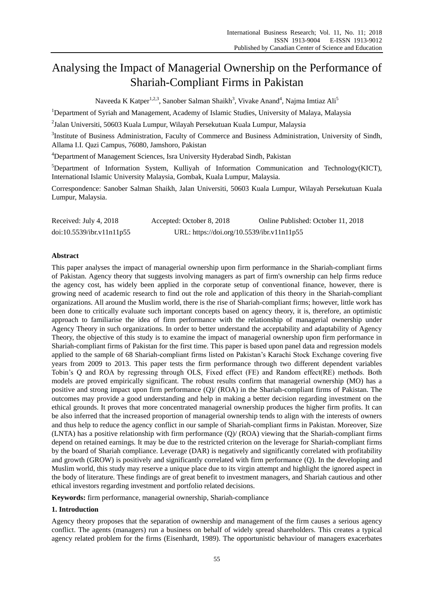# Analysing the Impact of Managerial Ownership on the Performance of Shariah-Compliant Firms in Pakistan

Naveeda K Katper<sup>1,2,3</sup>, Sanober Salman Shaikh<sup>3</sup>, Vivake Anand<sup>4</sup>, Najma Imtiaz Ali<sup>5</sup>

<sup>1</sup>Department of Syriah and Management, Academy of Islamic Studies, University of Malaya, Malaysia

 $^2$ Jalan Universiti, 50603 Kuala Lumpur, Wilayah Persekutuan Kuala Lumpur, Malaysia

<sup>3</sup>Institute of Business Administration, Faculty of Commerce and Business Administration, University of Sindh, Allama I.I. Qazi Campus, 76080, Jamshoro, Pakistan

<sup>4</sup>Department of Management Sciences, Isra University Hyderabad Sindh, Pakistan

<sup>5</sup>Department of Information System, Kulliyah of Information Communication and Technology(KICT), International Islamic University Malaysia, Gombak, Kuala Lumpur, Malaysia.

Correspondence: Sanober Salman Shaikh, Jalan Universiti, 50603 Kuala Lumpur, Wilayah Persekutuan Kuala Lumpur, Malaysia.

| Received: July 4, 2018    | Accepted: October 8, 2018                  | Online Published: October 11, 2018 |
|---------------------------|--------------------------------------------|------------------------------------|
| doi:10.5539/ibr.v11n11p55 | URL: https://doi.org/10.5539/ibr.v11n11p55 |                                    |

# **Abstract**

This paper analyses the impact of managerial ownership upon firm performance in the Shariah-compliant firms of Pakistan. Agency theory that suggests involving managers as part of firm's ownership can help firms reduce the agency cost, has widely been applied in the corporate setup of conventional finance, however, there is growing need of academic research to find out the role and application of this theory in the Shariah-compliant organizations. All around the Muslim world, there is the rise of Shariah-compliant firms; however, little work has been done to critically evaluate such important concepts based on agency theory, it is, therefore, an optimistic approach to familiarise the idea of firm performance with the relationship of managerial ownership under Agency Theory in such organizations. In order to better understand the acceptability and adaptability of Agency Theory, the objective of this study is to examine the impact of managerial ownership upon firm performance in Shariah-compliant firms of Pakistan for the first time. This paper is based upon panel data and regression models applied to the sample of 68 Shariah-compliant firms listed on Pakistan's Karachi Stock Exchange covering five years from 2009 to 2013. This paper tests the firm performance through two different dependent variables Tobin's Q and ROA by regressing through OLS, Fixed effect (FE) and Random effect(RE) methods. Both models are proved empirically significant. The robust results confirm that managerial ownership (MO) has a positive and strong impact upon firm performance (Q)/ (ROA) in the Shariah-compliant firms of Pakistan. The outcomes may provide a good understanding and help in making a better decision regarding investment on the ethical grounds. It proves that more concentrated managerial ownership produces the higher firm profits. It can be also inferred that the increased proportion of managerial ownership tends to align with the interests of owners and thus help to reduce the agency conflict in our sample of Shariah-compliant firms in Pakistan. Moreover, Size (LNTA) has a positive relationship with firm performance (Q)/ (ROA) viewing that the Shariah-compliant firms depend on retained earnings. It may be due to the restricted criterion on the leverage for Shariah-compliant firms by the board of Shariah compliance. Leverage (DAR) is negatively and significantly correlated with profitability and growth (GROW) is positively and significantly correlated with firm performance (Q). In the developing and Muslim world, this study may reserve a unique place due to its virgin attempt and highlight the ignored aspect in the body of literature. These findings are of great benefit to investment managers, and Shariah cautious and other ethical investors regarding investment and portfolio related decisions.

**Keywords:** firm performance, managerial ownership, Shariah-compliance

# **1. Introduction**

Agency theory proposes that the separation of ownership and management of the firm causes a serious agency conflict. The agents (managers) run a business on behalf of widely spread shareholders. This creates a typical agency related problem for the firms (Eisenhardt, 1989). The opportunistic behaviour of managers exacerbates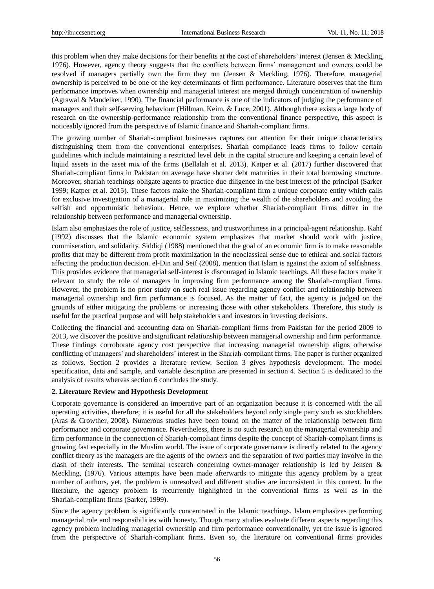this problem when they make decisions for their benefits at the cost of shareholders' interest (Jensen & Meckling, 1976). However, agency theory suggests that the conflicts between firms' management and owners could be resolved if managers partially own the firm they run (Jensen & Meckling, 1976). Therefore, managerial ownership is perceived to be one of the key determinants of firm performance. Literature observes that the firm performance improves when ownership and managerial interest are merged through concentration of ownership (Agrawal & Mandelker, 1990). The financial performance is one of the indicators of judging the performance of managers and their self-serving behaviour (Hillman, Keim, & Luce, 2001). Although there exists a large body of research on the ownership-performance relationship from the conventional finance perspective, this aspect is noticeably ignored from the perspective of Islamic finance and Shariah-compliant firms.

The growing number of Shariah-compliant businesses captures our attention for their unique characteristics distinguishing them from the conventional enterprises. Shariah compliance leads firms to follow certain guidelines which include maintaining a restricted level debt in the capital structure and keeping a certain level of liquid assets in the asset mix of the firms (Bellalah et al. 2013). Katper et al. (2017) further discovered that Shariah-compliant firms in Pakistan on average have shorter debt maturities in their total borrowing structure. Moreover, shariah teachings obligate agents to practice due diligence in the best interest of the principal (Sarker 1999; Katper et al. 2015). These factors make the Shariah-compliant firm a unique corporate entity which calls for exclusive investigation of a managerial role in maximizing the wealth of the shareholders and avoiding the selfish and opportunistic behaviour. Hence, we explore whether Shariah-compliant firms differ in the relationship between performance and managerial ownership.

Islam also emphasizes the role of justice, selflessness, and trustworthiness in a principal-agent relationship. Kahf (1992) discusses that the Islamic economic system emphasizes that market should work with justice, commiseration, and solidarity. Siddiqi (1988) mentioned that the goal of an economic firm is to make reasonable profits that may be different from profit maximization in the neoclassical sense due to ethical and social factors affecting the production decision. el-Din and Seif (2008), mention that Islam is against the axiom of selfishness. This provides evidence that managerial self-interest is discouraged in Islamic teachings. All these factors make it relevant to study the role of managers in improving firm performance among the Shariah-compliant firms. However, the problem is no prior study on such real issue regarding agency conflict and relationship between managerial ownership and firm performance is focused. As the matter of fact, the agency is judged on the grounds of either mitigating the problems or increasing those with other stakeholders. Therefore, this study is useful for the practical purpose and will help stakeholders and investors in investing decisions.

Collecting the financial and accounting data on Shariah-compliant firms from Pakistan for the period 2009 to 2013, we discover the positive and significant relationship between managerial ownership and firm performance. These findings corroborate agency cost perspective that increasing managerial ownership aligns otherwise conflicting of managers' and shareholders' interest in the Shariah-compliant firms. The paper is further organized as follows. Section 2 provides a literature review. Section 3 gives hypothesis development. The model specification, data and sample, and variable description are presented in section 4. Section 5 is dedicated to the analysis of results whereas section 6 concludes the study.

## **2. Literature Review and Hypothesis Development**

Corporate governance is considered an imperative part of an organization because it is concerned with the all operating activities, therefore; it is useful for all the stakeholders beyond only single party such as stockholders (Aras & Crowther, 2008). Numerous studies have been found on the matter of the relationship between firm performance and corporate governance. Nevertheless, there is no such research on the managerial ownership and firm performance in the connection of Shariah-compliant firms despite the concept of Shariah-compliant firms is growing fast especially in the Muslim world. The issue of corporate governance is directly related to the agency conflict theory as the managers are the agents of the owners and the separation of two parties may involve in the clash of their interests. The seminal research concerning owner-manager relationship is led by Jensen & Meckling, (1976). Various attempts have been made afterwards to mitigate this agency problem by a great number of authors, yet, the problem is unresolved and different studies are inconsistent in this context. In the literature, the agency problem is recurrently highlighted in the conventional firms as well as in the Shariah-compliant firms (Sarker, 1999).

Since the agency problem is significantly concentrated in the Islamic teachings. Islam emphasizes performing managerial role and responsibilities with honesty. Though many studies evaluate different aspects regarding this agency problem including managerial ownership and firm performance conventionally, yet the issue is ignored from the perspective of Shariah-compliant firms. Even so, the literature on conventional firms provides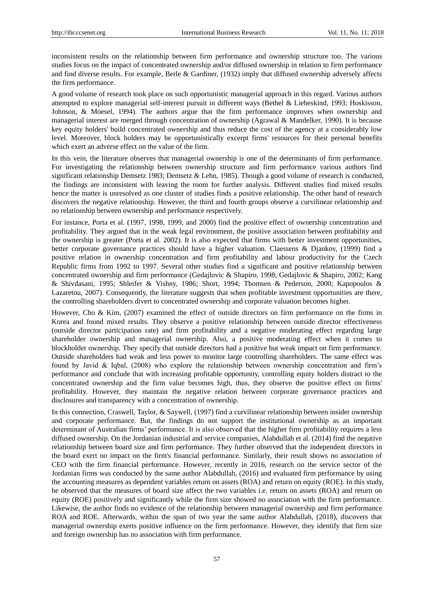inconsistent results on the relationship between firm performance and ownership structure too. The various studies focus on the impact of concentrated ownership and/or diffused ownership in relation to firm performance and find diverse results. For example, Berle & Gardiner, (1932) imply that diffused ownership adversely affects the firm performance.

A good volume of research took place on such opportunistic managerial approach in this regard. Various authors attempted to explore managerial self-interest pursuit in different ways (Bethel & Liebeskind, 1993; Hoskisson, Johnson, & Moesel, 1994). The authors argue that the firm performance improves when ownership and managerial interest are merged through concentration of ownership (Agrawal & Mandelker, 1990). It is because key equity holders' build concentrated ownership and thus reduce the cost of the agency at a considerably low level. Moreover, block holders may be opportunistically excerpt firms' resources for their personal benefits which exert an adverse effect on the value of the firm.

In this vein, the literature observes that managerial ownership is one of the determinants of firm performance. For investigating the relationship between ownership structure and firm performance various authors find significant relationship Demsetz 1983; Demsetz & Lehn, 1985). Though a good volume of research is conducted, the findings are inconsistent with leaving the room for further analysis. Different studies find mixed results hence the matter is unresolved as one cluster of studies finds a positive relationship. The other band of research discovers the negative relationship. However, the third and fourth groups observe a curvilinear relationship and no relationship between ownership and performance respectively.

For instance, Porta et al. (1997, 1998, 1999, and 2000) find the positive effect of ownership concentration and profitability. They argued that in the weak legal environment, the positive association between profitability and the ownership is greater (Porta et al. 2002). It is also expected that firms with better investment opportunities, better corporate governance practices should have a higher valuation. Claessens & Djankov, (1999) find a positive relation in ownership concentration and firm profitability and labour productivity for the Czech Republic firms from 1992 to 1997. Several other studies find a significant and positive relationship between concentrated ownership and firm performance (Gedajlovic & Shapiro, 1998; Gedajlovic & Shapiro, 2002; Kang & Shivdasani, 1995; Shleifer & Vishny, 1986; Short, 1994; Thomsen & Pederson, 2000; Kapopoulos & Lazaretou, 2007). Consequently, the literature suggests that when profitable investment opportunities are there, the controlling shareholders divert to concentrated ownership and corporate valuation becomes higher.

However, Cho & Kim, (2007) examined the effect of outside directors on firm performance on the firms in Korea and found mixed results. They observe a positive relationship between outside director effectiveness (outside director participation rate) and firm profitability and a negative moderating effect regarding large shareholder ownership and managerial ownership. Also, a positive moderating effect when it comes to blockholder ownership. They specify that outside directors had a positive but weak impact on firm performance. Outside shareholders had weak and less power to monitor large controlling shareholders. The same effect was found by Javid & Iqbal, (2008) who explore the relationship between ownership concentration and firm's performance and conclude that with increasing profitable opportunity, controlling equity holders distract to the concentrated ownership and the firm value becomes high, thus, they observe the positive effect on firms' profitability. However, they maintain the negative relation between corporate governance practices and disclosures and transparency with a concentration of ownership.

In this connection, Craswell, Taylor, & Saywell, (1997) find a curvilinear relationship between insider ownership and corporate performance. But, the findings do not support the institutional ownership as an important determinant of Australian firms' performance. It is also observed that the higher firm profitability requires a less diffused ownership. On the Jordanian industrial and service companies, Alabdullah et al. (2014) find the negative relationship between board size and firm performance. They further observed that the independent directors in the board exert no impact on the firm's financial performance. Similarly, their result shows no association of CEO with the firm financial performance. However, recently in 2016, research on the service sector of the Jordanian firms was conducted by the same author Alabdullah, (2016) and evaluated firm performance by using the accounting measures as dependent variables return on assets (ROA) and return on equity (ROE). In this study, he observed that the measures of board size affect the two variables i.e. return on assets (ROA) and return on equity (ROE) positively and significantly while the firm size showed no association with the firm performance. Likewise, the author finds no evidence of the relationship between managerial ownership and firm performance ROA and ROE. Afterwards, within the span of two year the same author Alabdullah, (2018), discovers that managerial ownership exerts positive influence on the firm performance. However, they identify that firm size and foreign ownership has no association with firm performance.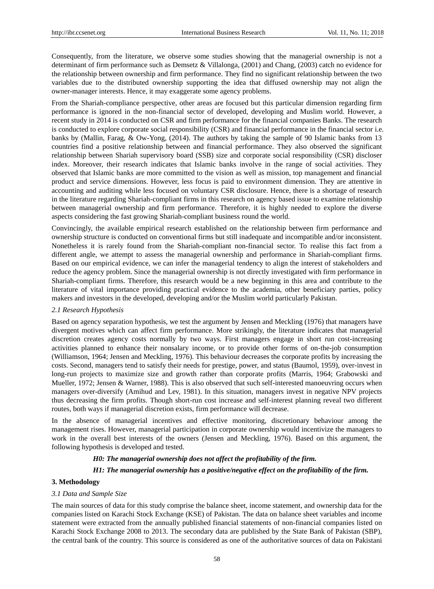Consequently, from the literature, we observe some studies showing that the managerial ownership is not a determinant of firm performance such as Demsetz & Villalonga, (2001) and Chang, (2003) catch no evidence for the relationship between ownership and firm performance. They find no significant relationship between the two variables due to the distributed ownership supporting the idea that diffused ownership may not align the owner-manager interests. Hence, it may exaggerate some agency problems.

From the Shariah-compliance perspective, other areas are focused but this particular dimension regarding firm performance is ignored in the non-financial sector of developed, developing and Muslim world. However, a recent study in 2014 is conducted on CSR and firm performance for the financial companies Banks. The research is conducted to explore corporate social responsibility (CSR) and financial performance in the financial sector i.e. banks by (Mallin, Farag, & Ow-Yong, (2014). The authors by taking the sample of 90 Islamic banks from 13 countries find a positive relationship between and financial performance. They also observed the significant relationship between Shariah supervisory board (SSB) size and corporate social responsibility (CSR) discloser index. Moreover, their research indicates that Islamic banks involve in the range of social activities. They observed that Islamic banks are more committed to the vision as well as mission, top management and financial product and service dimensions. However, less focus is paid to environment dimension. They are attentive in accounting and auditing while less focused on voluntary CSR disclosure. Hence, there is a shortage of research in the literature regarding Shariah-compliant firms in this research on agency based issue to examine relationship between managerial ownership and firm performance. Therefore, it is highly needed to explore the diverse aspects considering the fast growing Shariah-compliant business round the world.

Convincingly, the available empirical research established on the relationship between firm performance and ownership structure is conducted on conventional firms but still inadequate and incompatible and/or inconsistent. Nonetheless it is rarely found from the Shariah-compliant non-financial sector. To realise this fact from a different angle, we attempt to assess the managerial ownership and performance in Shariah-compliant firms. Based on our empirical evidence, we can infer the managerial tendency to align the interest of stakeholders and reduce the agency problem. Since the managerial ownership is not directly investigated with firm performance in Shariah-compliant firms. Therefore, this research would be a new beginning in this area and contribute to the literature of vital importance providing practical evidence to the academia, other beneficiary parties, policy makers and investors in the developed, developing and/or the Muslim world particularly Pakistan.

## *2.1 Research Hypothesis*

Based on agency separation hypothesis, we test the argument by Jensen and Meckling (1976) that managers have divergent motives which can affect firm performance. More strikingly, the literature indicates that managerial discretion creates agency costs normally by two ways. First managers engage in short run cost-increasing activities planned to enhance their nonsalary income, or to provide other forms of on-the-job consumption (Williamson, 1964; Jensen and Meckling, 1976). This behaviour decreases the corporate profits by increasing the costs. Second, managers tend to satisfy their needs for prestige, power, and status (Baumol, 1959), over-invest in long-run projects to maximize size and growth rather than corporate profits (Marris, 1964; Grabowski and Mueller, 1972; Jensen & Warner, 1988). This is also observed that such self-interested manoeuvring occurs when managers over-diversify (Amihud and Lev, 1981). In this situation, managers invest in negative NPV projects thus decreasing the firm profits. Though short-run cost increase and self-interest planning reveal two different routes, both ways if managerial discretion exists, firm performance will decrease.

In the absence of managerial incentives and effective monitoring, discretionary behaviour among the management rises. However, managerial participation in corporate ownership would incentivize the managers to work in the overall best interests of the owners (Jensen and Meckling, 1976). Based on this argument, the following hypothesis is developed and tested.

# *H0: The managerial ownership does not affect the profitability of the firm.*

## *H1: The managerial ownership has a positive/negative effect on the profitability of the firm.*

# **3. Methodology**

## *3.1 Data and Sample Size*

The main sources of data for this study comprise the balance sheet, income statement, and ownership data for the companies listed on Karachi Stock Exchange (KSE) of Pakistan. The data on balance sheet variables and income statement were extracted from the annually published financial statements of non-financial companies listed on Karachi Stock Exchange 2008 to 2013. The secondary data are published by the State Bank of Pakistan (SBP), the central bank of the country. This source is considered as one of the authoritative sources of data on Pakistani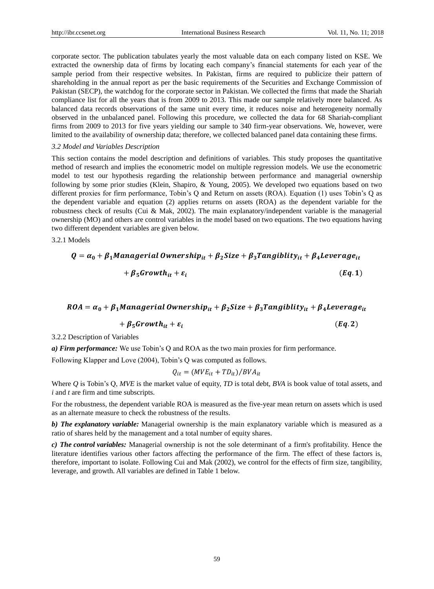corporate sector. The publication tabulates yearly the most valuable data on each company listed on KSE. We extracted the ownership data of firms by locating each company's financial statements for each year of the sample period from their respective websites. In Pakistan, firms are required to publicize their pattern of shareholding in the annual report as per the basic requirements of the Securities and Exchange Commission of Pakistan (SECP), the watchdog for the corporate sector in Pakistan. We collected the firms that made the Shariah compliance list for all the years that is from 2009 to 2013. This made our sample relatively more balanced. As balanced data records observations of the same unit every time, it reduces noise and heterogeneity normally observed in the unbalanced panel. Following this procedure, we collected the data for 68 Shariah-compliant firms from 2009 to 2013 for five years yielding our sample to 340 firm-year observations. We, however, were limited to the availability of ownership data; therefore, we collected balanced panel data containing these firms.

#### *3.2 Model and Variables Description*

This section contains the model description and definitions of variables. This study proposes the quantitative method of research and implies the econometric model on multiple regression models. We use the econometric model to test our hypothesis regarding the relationship between performance and managerial ownership following by some prior studies (Klein, Shapiro, & Young, 2005). We developed two equations based on two different proxies for firm performance, Tobin's Q and Return on assets (ROA). Equation (1) uses Tobin's Q as the dependent variable and equation (2) applies returns on assets (ROA) as the dependent variable for the robustness check of results (Cui & Mak, 2002). The main explanatory/independent variable is the managerial ownership (MO) and others are control variables in the model based on two equations. The two equations having two different dependent variables are given below.

3.2.1 Models

$$
Q = \alpha_0 + \beta_1 \text{Management } \text{Owner} \text{ship}_{it} + \beta_2 \text{Size} + \beta_3 \text{Tangibility}_{it} + \beta_4 \text{Leverage}_{it}
$$

$$
+ \beta_5 \text{Growth}_{it} + \varepsilon_i
$$
(Eq. 1)

# $ROA = \alpha_0 + \beta_1$ Managerial Ownership<sub>it</sub> +  $\beta_2$ Size +  $\beta_3$ Tangiblity<sub>it</sub> +  $\beta_4$ Leverage<sub>it</sub>

$$
+\beta_5 \text{Growth}_{it} + \varepsilon_i \tag{Eq.2}
$$

3.2.2 Description of Variables

*a) Firm performance:* We use Tobin's Q and ROA as the two main proxies for firm performance.

Following Klapper and Love (2004), Tobin's Q was computed as follows.

$$
Q_{it} = (MVE_{it} + TD_{it})/BVA_{it}
$$

Where *Q* is Tobin's Q, *MVE* is the market value of equity, *TD* is total debt, *BVA* is book value of total assets, and *i* and *t* are firm and time subscripts.

For the robustness, the dependent variable ROA is measured as the five-year mean return on assets which is used as an alternate measure to check the robustness of the results.

*b) The explanatory variable:* Managerial ownership is the main explanatory variable which is measured as a ratio of shares held by the management and a total number of equity shares.

*c) The control variables:* Managerial ownership is not the sole determinant of a firm's profitability. Hence the literature identifies various other factors affecting the performance of the firm. The effect of these factors is, therefore, important to isolate. Following Cui and Mak (2002), we control for the effects of firm size, tangibility, leverage, and growth. All variables are defined in Table 1 below.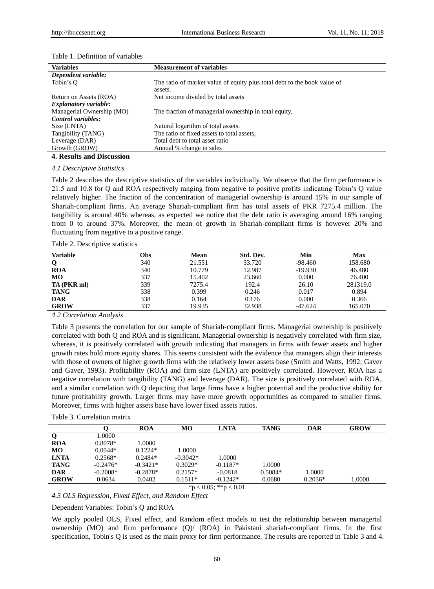| <b>Variables</b>                 | <b>Measurement of variables</b>                                                     |
|----------------------------------|-------------------------------------------------------------------------------------|
| Dependent variable:              |                                                                                     |
| Tobin's O                        | The ratio of market value of equity plus total debt to the book value of<br>assets. |
| Return on Assets (ROA)           | Net income divided by total assets                                                  |
| <b>Explanatory variable:</b>     |                                                                                     |
| Managerial Ownership (MO)        | The fraction of managerial ownership in total equity,                               |
| Control variables:               |                                                                                     |
| Size (LNTA)                      | Natural logarithm of total assets.                                                  |
| Tangibility (TANG)               | The ratio of fixed assets to total assets,                                          |
| Leverage (DAR)                   | Total debt to total asset ratio                                                     |
| Growth (GROW)                    | Annual % change in sales                                                            |
| <b>4. Results and Discussion</b> |                                                                                     |

#### Table 1. Definition of variables

# *4.1 Descriptive Statistics*

Table 2 describes the descriptive statistics of the variables individually. We observe that the firm performance is 21.5 and 10.8 for Q and ROA respectively ranging from negative to positive profits indicating Tobin's Q value relatively higher. The fraction of the concentration of managerial ownership is around 15% in our sample of Shariah-compliant firms. An average Shariah-compliant firm has total assets of PKR 7275.4 million. The tangibility is around 40% whereas, as expected we notice that the debt ratio is averaging around 16% ranging from 0 to around 37%. Moreover, the mean of growth in Shariah-compliant firms is however 20% and fluctuating from negative to a positive range.

|  | Table 2. Descriptive statistics |  |
|--|---------------------------------|--|
|--|---------------------------------|--|

| <b>Variable</b><br>Obs. | Mean   | Std. Dev. | Min       | Max      |
|-------------------------|--------|-----------|-----------|----------|
| 340                     | 21.551 | 33.720    | $-98.460$ | 158.680  |
| 340<br><b>ROA</b>       | 10.779 | 12.987    | $-19.930$ | 46.480   |
| 337<br>MО               | 15.402 | 23.660    | 0.000     | 76.400   |
| 339<br>TA (PKR ml)      | 7275.4 | 192.4     | 26.10     | 281319.0 |
| 338<br><b>TANG</b>      | 0.399  | 0.246     | 0.017     | 0.894    |
| 338<br><b>DAR</b>       | 0.164  | 0.176     | 0.000     | 0.366    |
| <b>GROW</b><br>337      | 19.935 | 32.938    | $-47.624$ | 165.070  |

*4.2 Correlation Analysis* 

Table 3 presents the correlation for our sample of Shariah-compliant firms. Managerial ownership is positively correlated with both Q and ROA and is significant. Managerial ownership is negatively correlated with firm size, whereas, it is positively correlated with growth indicating that managers in firms with fewer assets and higher growth rates hold more equity shares. This seems consistent with the evidence that managers align their interests with those of owners of higher growth firms with the relatively lower assets base (Smith and Watts, 1992; Gaver and Gaver, 1993). Profitability (ROA) and firm size (LNTA) are positively correlated. However, ROA has a negative correlation with tangibility (TANG) and leverage (DAR). The size is positively correlated with ROA, and a similar correlation with Q depicting that large firms have a higher potential and the productive ability for future profitability growth. Larger firms may have more growth opportunities as compared to smaller firms. Moreover, firms with higher assets base have lower fixed assets ratios.

| Table 3. Correlation matrix |  |
|-----------------------------|--|
|-----------------------------|--|

|                       |            | <b>ROA</b> | MО         | <b>LNTA</b> | <b>TANG</b> | <b>DAR</b> | <b>GROW</b> |
|-----------------------|------------|------------|------------|-------------|-------------|------------|-------------|
| Q                     | 1.0000     |            |            |             |             |            |             |
| <b>ROA</b>            | 0.8078*    | 1.0000     |            |             |             |            |             |
| MO                    | $0.0044*$  | $0.1224*$  | 1.0000     |             |             |            |             |
| <b>LNTA</b>           | $0.2568*$  | $0.2484*$  | $-0.3042*$ | 1.0000      |             |            |             |
| <b>TANG</b>           | $-0.2476*$ | $-0.3421*$ | $0.3029*$  | $-0.1187*$  | 1.0000      |            |             |
| <b>DAR</b>            | $-0.2008*$ | $-0.2878*$ | $0.2157*$  | $-0.0818$   | $0.5084*$   | 1.0000     |             |
| <b>GROW</b>           | 0.0634     | 0.0402     | $0.1511*$  | $-0.1242*$  | 0.0680      | $0.2036*$  | 1.0000      |
| *p < 0.05; **p < 0.01 |            |            |            |             |             |            |             |

*4.3 OLS Regression, Fixed Effect, and Random Effect* 

Dependent Variables: Tobin's Q and ROA

We apply pooled OLS, Fixed effect, and Random effect models to test the relationship between managerial ownership (MO) and firm performance (Q)/ (ROA) in Pakistani shariah-compliant firms. In the first specification, Tobin's Q is used as the main proxy for firm performance. The results are reported in Table 3 and 4.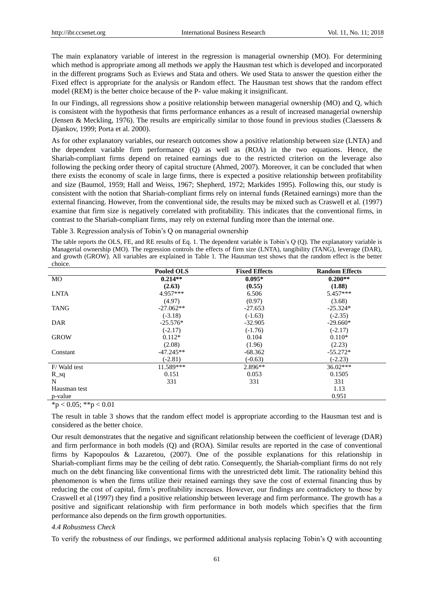The main explanatory variable of interest in the regression is managerial ownership (MO). For determining which method is appropriate among all methods we apply the Hausman test which is developed and incorporated in the different programs Such as Eviews and Stata and others. We used Stata to answer the question either the Fixed effect is appropriate for the analysis or Random effect. The Hausman test shows that the random effect model (REM) is the better choice because of the P- value making it insignificant.

In our Findings, all regressions show a positive relationship between managerial ownership (MO) and Q, which is consistent with the hypothesis that firms performance enhances as a result of increased managerial ownership (Jensen & Meckling, 1976). The results are empirically similar to those found in previous studies (Claessens & Djankov, 1999; Porta et al. 2000).

As for other explanatory variables, our research outcomes show a positive relationship between size (LNTA) and the dependent variable firm performance (Q) as well as (ROA) in the two equations. Hence, the Shariah-compliant firms depend on retained earnings due to the restricted criterion on the leverage also following the pecking order theory of capital structure (Ahmed, 2007). Moreover, it can be concluded that when there exists the economy of scale in large firms, there is expected a positive relationship between profitability and size (Baumol, 1959; Hall and Weiss, 1967; Shepherd, 1972; Markides 1995). Following this, our study is consistent with the notion that Shariah-compliant firms rely on internal funds (Retained earnings) more than the external financing. However, from the conventional side, the results may be mixed such as Craswell et al. (1997) examine that firm size is negatively correlated with profitability. This indicates that the conventional firms, in contrast to the Shariah-compliant firms, may rely on external funding more than the internal one.

Table 3. Regression analysis of Tobin's Q on managerial ownership

The table reports the OLS, FE, and RE results of Eq. 1. The dependent variable is Tobin's Q (Q). The explanatory variable is Managerial ownership (MO). The regression controls the effects of firm size (LNTA), tangibility (TANG), leverage (DAR), and growth (GROW). All variables are explained in Table 1. The Hausman test shows that the random effect is the better choice.

|                      | <b>Pooled OLS</b> | <b>Fixed Effects</b> | <b>Random Effects</b> |
|----------------------|-------------------|----------------------|-----------------------|
| MO                   | $0.214**$         | $0.095*$             | $0.200**$             |
|                      | (2.63)            | (0.55)               | (1.88)                |
| <b>LNTA</b>          | 4.957***          | 6.506                | 5.457***              |
|                      | (4.97)            | (0.97)               | (3.68)                |
| <b>TANG</b>          | $-27.062**$       | $-27.653$            | $-25.324*$            |
|                      | $(-3.18)$         | $(-1.63)$            | $(-2.35)$             |
| DAR                  | $-25.576*$        | $-32.905$            | $-29.660*$            |
|                      | $(-2.17)$         | $(-1.76)$            | $(-2.17)$             |
| <b>GROW</b>          | $0.112*$          | 0.104                | $0.110*$              |
|                      | (2.08)            | (1.96)               | (2.23)                |
| Constant             | $-47.245**$       | $-68.362$            | $-55.272*$            |
|                      | $(-2.81)$         | $(-0.63)$            | $(-2.23)$             |
| F/Wald test          | 11.589***         | $2.896**$            | $36.02***$            |
| $R$ <sub>sq</sub>    | 0.151             | 0.053                | 0.1505                |
| N                    | 331               | 331                  | 331                   |
| Hausman test         |                   |                      | 1.13                  |
| p-value              |                   |                      | 0.951                 |
| $4.1005$ , $44.1001$ |                   |                      |                       |

 $*<sub>p</sub> < 0.05; **<sub>p</sub> < 0.01$ 

The result in table 3 shows that the random effect model is appropriate according to the Hausman test and is considered as the better choice.

Our result demonstrates that the negative and significant relationship between the coefficient of leverage (DAR) and firm performance in both models (Q) and (ROA). Similar results are reported in the case of conventional firms by Kapopoulos & Lazaretou, (2007). One of the possible explanations for this relationship in Shariah-compliant firms may be the ceiling of debt ratio. Consequently, the Shariah-compliant firms do not rely much on the debt financing like conventional firms with the unrestricted debt limit. The rationality behind this phenomenon is when the firms utilize their retained earnings they save the cost of external financing thus by reducing the cost of capital, firm's profitability increases. However, our findings are contradictory to those by Craswell et al (1997) they find a positive relationship between leverage and firm performance. The growth has a positive and significant relationship with firm performance in both models which specifies that the firm performance also depends on the firm growth opportunities.

## *4.4 Robustness Check*

To verify the robustness of our findings, we performed additional analysis replacing Tobin's Q with accounting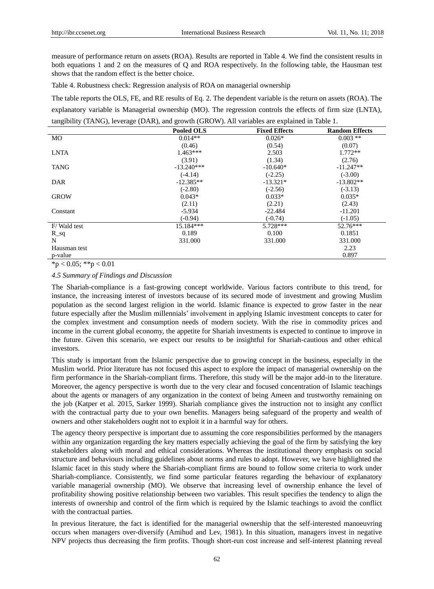measure of performance return on assets (ROA). Results are reported in Table 4. We find the consistent results in both equations 1 and 2 on the measures of Q and ROA respectively. In the following table, the Hausman test shows that the random effect is the better choice.

Table 4. Robustness check: Regression analysis of ROA on managerial ownership

The table reports the OLS, FE, and RE results of Eq. 2. The dependent variable is the return on assets (ROA). The explanatory variable is Managerial ownership (MO). The regression controls the effects of firm size (LNTA), tangibility (TANG), leverage (DAR), and growth (GROW). All variables are explained in Table 1.

|              | <b>Pooled OLS</b> | <b>Fixed Effects</b> | <b>Random Effects</b> |
|--------------|-------------------|----------------------|-----------------------|
| MO           | $0.014**$         | $0.026*$             | $0.003$ **            |
|              | (0.46)            | (0.54)               | (0.07)                |
| <b>LNTA</b>  | $1.463***$        | 2.503                | $1.772**$             |
|              | (3.91)            | (1.34)               | (2.76)                |
| <b>TANG</b>  | $-13.240***$      | $-10.640*$           | $-11.247**$           |
|              | $(-4.14)$         | $(-2.25)$            | $(-3.00)$             |
| DAR          | $-12.385**$       | $-13.321*$           | $-13.802**$           |
|              | $(-2.80)$         | $(-2.56)$            | $(-3.13)$             |
| <b>GROW</b>  | $0.043*$          | $0.033*$             | $0.035*$              |
|              | (2.11)            | (2.21)               | (2.43)                |
| Constant     | $-5.934$          | $-22.484$            | $-11.201$             |
|              | $(-0.94)$         | $(-0.74)$            | $(-1.05)$             |
| F/Wald test  | 15.184***         | $5.728***$           | $52.76***$            |
| $R$ sq       | 0.189             | 0.100                | 0.1851                |
| N            | 331.000           | 331.000              | 331.000               |
| Hausman test |                   |                      | 2.23                  |
| p-value      |                   |                      | 0.897                 |

 $*<sub>p</sub> < 0.05$ ;  $*<sub>p</sub> < 0.01$ 

# *4.5 Summary of Findings and Discussion*

The Shariah-compliance is a fast-growing concept worldwide. Various factors contribute to this trend, for instance, the increasing interest of investors because of its secured mode of investment and growing Muslim population as the second largest religion in the world. Islamic finance is expected to grow faster in the near future especially after the Muslim millennials' involvement in applying Islamic investment concepts to cater for the complex investment and consumption needs of modern society. With the rise in commodity prices and income in the current global economy, the appetite for Shariah investments is expected to continue to improve in the future. Given this scenario, we expect our results to be insightful for Shariah-cautious and other ethical investors.

This study is important from the Islamic perspective due to growing concept in the business, especially in the Muslim world. Prior literature has not focused this aspect to explore the impact of managerial ownership on the firm performance in the Shariah-compliant firms. Therefore, this study will be the major add-in to the literature. Moreover, the agency perspective is worth due to the very clear and focused concentration of Islamic teachings about the agents or managers of any organization in the context of being Ameen and trustworthy remaining on the job (Katper et al. 2015, Sarker 1999). Shariah compliance gives the instruction not to insight any conflict with the contractual party due to your own benefits. Managers being safeguard of the property and wealth of owners and other stakeholders ought not to exploit it in a harmful way for others.

The agency theory perspective is important due to assuming the core responsibilities performed by the managers within any organization regarding the key matters especially achieving the goal of the firm by satisfying the key stakeholders along with moral and ethical considerations. Whereas the institutional theory emphasis on social structure and behaviours including guidelines about norms and rules to adopt. However, we have highlighted the Islamic facet in this study where the Shariah-compliant firms are bound to follow some criteria to work under Shariah-compliance. Consistently, we find some particular features regarding the behaviour of explanatory variable managerial ownership (MO). We observe that increasing level of ownership enhance the level of profitability showing positive relationship between two variables. This result specifies the tendency to align the interests of ownership and control of the firm which is required by the Islamic teachings to avoid the conflict with the contractual parties.

In previous literature, the fact is identified for the managerial ownership that the self-interested manoeuvring occurs when managers over-diversify (Amihud and Lev, 1981). In this situation, managers invest in negative NPV projects thus decreasing the firm profits. Though short-run cost increase and self-interest planning reveal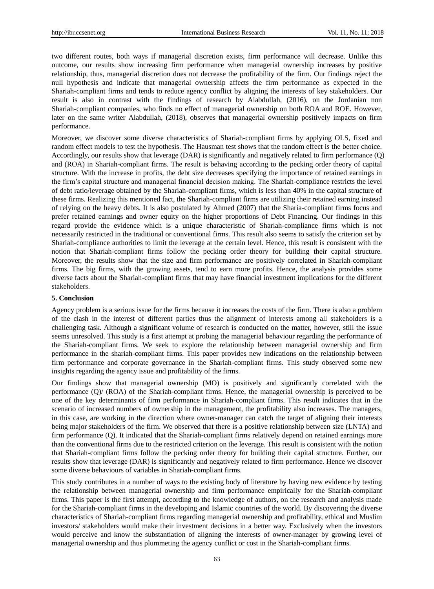two different routes, both ways if managerial discretion exists, firm performance will decrease. Unlike this outcome, our results show increasing firm performance when managerial ownership increases by positive relationship, thus, managerial discretion does not decrease the profitability of the firm. Our findings reject the null hypothesis and indicate that managerial ownership affects the firm performance as expected in the Shariah-compliant firms and tends to reduce agency conflict by aligning the interests of key stakeholders. Our result is also in contrast with the findings of research by Alabdullah, (2016), on the Jordanian non Shariah-compliant companies, who finds no effect of managerial ownership on both ROA and ROE. However, later on the same writer Alabdullah, (2018), observes that managerial ownership positively impacts on firm performance.

Moreover, we discover some diverse characteristics of Shariah-compliant firms by applying OLS, fixed and random effect models to test the hypothesis. The Hausman test shows that the random effect is the better choice. Accordingly, our results show that leverage (DAR) is significantly and negatively related to firm performance (Q) and (ROA) in Shariah-compliant firms. The result is behaving according to the pecking order theory of capital structure. With the increase in profits, the debt size decreases specifying the importance of retained earnings in the firm's capital structure and managerial financial decision making. The Shariah-compliance restricts the level of debt ratio/leverage obtained by the Shariah-compliant firms, which is less than 40% in the capital structure of these firms. Realizing this mentioned fact, the Shariah-compliant firms are utilizing their retained earning instead of relying on the heavy debts. It is also postulated by Ahmed (2007) that the Sharia-compliant firms focus and prefer retained earnings and owner equity on the higher proportions of Debt Financing. Our findings in this regard provide the evidence which is a unique characteristic of Shariah-compliance firms which is not necessarily restricted in the traditional or conventional firms. This result also seems to satisfy the criterion set by Shariah-compliance authorities to limit the leverage at the certain level. Hence, this result is consistent with the notion that Shariah-compliant firms follow the pecking order theory for building their capital structure. Moreover, the results show that the size and firm performance are positively correlated in Shariah-compliant firms. The big firms, with the growing assets, tend to earn more profits. Hence, the analysis provides some diverse facts about the Shariah-compliant firms that may have financial investment implications for the different stakeholders.

## **5. Conclusion**

Agency problem is a serious issue for the firms because it increases the costs of the firm. There is also a problem of the clash in the interest of different parties thus the alignment of interests among all stakeholders is a challenging task. Although a significant volume of research is conducted on the matter, however, still the issue seems unresolved. This study is a first attempt at probing the managerial behaviour regarding the performance of the Shariah-compliant firms. We seek to explore the relationship between managerial ownership and firm performance in the shariah-compliant firms. This paper provides new indications on the relationship between firm performance and corporate governance in the Shariah-compliant firms. This study observed some new insights regarding the agency issue and profitability of the firms.

Our findings show that managerial ownership (MO) is positively and significantly correlated with the performance (Q)/ (ROA) of the Shariah-compliant firms. Hence, the managerial ownership is perceived to be one of the key determinants of firm performance in Shariah-compliant firms. This result indicates that in the scenario of increased numbers of ownership in the management, the profitability also increases. The managers, in this case, are working in the direction where owner-manager can catch the target of aligning their interests being major stakeholders of the firm. We observed that there is a positive relationship between size (LNTA) and firm performance (Q). It indicated that the Shariah-compliant firms relatively depend on retained earnings more than the conventional firms due to the restricted criterion on the leverage. This result is consistent with the notion that Shariah-compliant firms follow the pecking order theory for building their capital structure. Further, our results show that leverage (DAR) is significantly and negatively related to firm performance. Hence we discover some diverse behaviours of variables in Shariah-compliant firms.

This study contributes in a number of ways to the existing body of literature by having new evidence by testing the relationship between managerial ownership and firm performance empirically for the Shariah-compliant firms. This paper is the first attempt, according to the knowledge of authors, on the research and analysis made for the Shariah-compliant firms in the developing and Islamic countries of the world. By discovering the diverse characteristics of Shariah-compliant firms regarding managerial ownership and profitability, ethical and Muslim investors/ stakeholders would make their investment decisions in a better way. Exclusively when the investors would perceive and know the substantiation of aligning the interests of owner-manager by growing level of managerial ownership and thus plummeting the agency conflict or cost in the Shariah-compliant firms.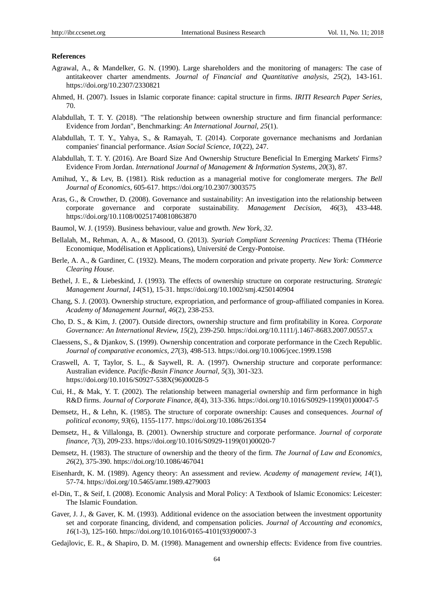# **References**

- Agrawal, A., & Mandelker, G. N. (1990). Large shareholders and the monitoring of managers: The case of antitakeover charter amendments. *Journal of Financial and Quantitative analysis, 25*(2), 143-161. https://doi.org/10.2307/2330821
- Ahmed, H. (2007). Issues in Islamic corporate finance: capital structure in firms. *IRITI Research Paper Series*, 70.
- Alabdullah, T. T. Y. (2018). "The relationship between ownership structure and firm financial performance: Evidence from Jordan", Benchmarking: *An International Journal*, *25*(1).
- Alabdullah, T. T. Y., Yahya, S., & Ramayah, T. (2014). Corporate governance mechanisms and Jordanian companies' financial performance. *Asian Social Science, 10*(22), 247.
- Alabdullah, T. T. Y. (2016). Are Board Size And Ownership Structure Beneficial In Emerging Markets' Firms? Evidence From Jordan. *International Journal of Management & Information Systems*, *20*(3), 87.
- Amihud, Y., & Lev, B. (1981). Risk reduction as a managerial motive for conglomerate mergers. *The Bell Journal of Economics*, 605-617. https://doi.org/10.2307/3003575
- Aras, G., & Crowther, D. (2008). Governance and sustainability: An investigation into the relationship between corporate governance and corporate sustainability. *Management Decision*, *46*(3), 433-448. https://doi.org/10.1108/00251740810863870
- Baumol, W. J. (1959). Business behaviour, value and growth. *New York, 32*.
- Bellalah, M., Rehman, A. A., & Masood, O. (2013). *Syariah Compliant Screening Practices*: Thema (THéorie Economique, Modélisation et Applications), Université de Cergy-Pontoise.
- Berle, A. A., & Gardiner, C. (1932). Means, The modern corporation and private property. *New York: Commerce Clearing House*.
- Bethel, J. E., & Liebeskind, J. (1993). The effects of ownership structure on corporate restructuring. *Strategic Management Journal, 14*(S1), 15-31. https://doi.org/10.1002/smj.4250140904
- Chang, S. J. (2003). Ownership structure, expropriation, and performance of group-affiliated companies in Korea. *Academy of Management Journal, 46*(2), 238-253.
- Cho, D. S., & Kim, J. (2007). Outside directors, ownership structure and firm profitability in Korea. *Corporate Governance: An International Review, 15*(2), 239-250. https://doi.org/10.1111/j.1467-8683.2007.00557.x
- Claessens, S., & Djankov, S. (1999). Ownership concentration and corporate performance in the Czech Republic. *Journal of comparative economics, 27*(3), 498-513. https://doi.org/10.1006/jcec.1999.1598
- Craswell, A. T, Taylor, S. L., & Saywell, R. A. (1997). Ownership structure and corporate performance: Australian evidence. *Pacific-Basin Finance Journal, 5*(3), 301-323. https://doi.org/10.1016/S0927-538X(96)00028-5
- Cui, H., & Mak, Y. T. (2002). The relationship between managerial ownership and firm performance in high R&D firms. *Journal of Corporate Finance, 8*(4), 313-336. https://doi.org/10.1016/S0929-1199(01)00047-5
- Demsetz, H., & Lehn, K. (1985). The structure of corporate ownership: Causes and consequences. *Journal of political economy, 93*(6), 1155-1177. https://doi.org/10.1086/261354
- Demsetz, H., & Villalonga, B. (2001). Ownership structure and corporate performance. *Journal of corporate finance, 7*(3), 209-233. https://doi.org/10.1016/S0929-1199(01)00020-7
- Demsetz, H. (1983). The structure of ownership and the theory of the firm. *The Journal of Law and Economics, 26*(2), 375-390. https://doi.org/10.1086/467041
- Eisenhardt, K. M. (1989). Agency theory: An assessment and review. *Academy of management review, 14*(1), 57-74. https://doi.org/10.5465/amr.1989.4279003
- el-Din, T., & Seif, I. (2008). Economic Analysis and Moral Policy: A Textbook of Islamic Economics: Leicester: The Islamic Foundation.
- Gaver, J. J., & Gaver, K. M. (1993). Additional evidence on the association between the investment opportunity set and corporate financing, dividend, and compensation policies. *Journal of Accounting and economics*, *16*(1-3), 125-160. https://doi.org/10.1016/0165-4101(93)90007-3
- Gedajlovic, E. R., & Shapiro, D. M. (1998). Management and ownership effects: Evidence from five countries.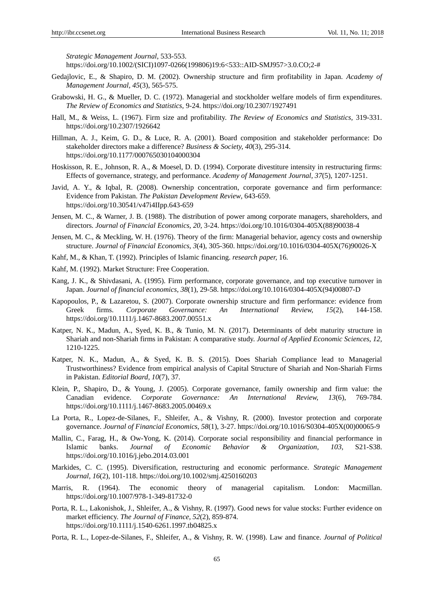*Strategic Management Journal*, 533-553.

https://doi.org/10.1002/(SICI)1097-0266(199806)19:6<533::AID-SMJ957>3.0.CO;2-#

- Gedajlovic, E., & Shapiro, D. M. (2002). Ownership structure and firm profitability in Japan. *Academy of Management Journal, 45*(3), 565-575.
- Grabowski, H. G., & Mueller, D. C. (1972). Managerial and stockholder welfare models of firm expenditures. *The Review of Economics and Statistics,* 9-24. https://doi.org/10.2307/1927491
- Hall, M., & Weiss, L. (1967). Firm size and profitability. *The Review of Economics and Statistics,* 319-331. https://doi.org/10.2307/1926642
- Hillman, A. J., Keim, G. D., & Luce, R. A. (2001). Board composition and stakeholder performance: Do stakeholder directors make a difference? *Business & Society, 40*(3), 295-314. https://doi.org/10.1177/000765030104000304
- Hoskisson, R. E., Johnson, R. A., & Moesel, D. D. (1994). Corporate divestiture intensity in restructuring firms: Effects of governance, strategy, and performance. *Academy of Management Journal, 37*(5), 1207-1251.
- Javid, A. Y., & Iqbal, R. (2008). Ownership concentration, corporate governance and firm performance: Evidence from Pakistan. *The Pakistan Development Review*, 643-659. https://doi.org/10.30541/v47i4IIpp.643-659
- Jensen, M. C., & Warner, J. B. (1988). The distribution of power among corporate managers, shareholders, and directors. *Journal of Financial Economics, 20,* 3-24. https://doi.org/10.1016/0304-405X(88)90038-4
- Jensen, M. C., & Meckling, W. H. (1976). Theory of the firm: Managerial behavior, agency costs and ownership structure. *Journal of Financial Economics, 3*(4), 305-360. https://doi.org/10.1016/0304-405X(76)90026-X
- Kahf, M., & Khan, T. (1992). Principles of Islamic financing. *research paper,* 16.
- Kahf, M. (1992). Market Structure: Free Cooperation.
- Kang, J. K., & Shivdasani, A. (1995). Firm performance, corporate governance, and top executive turnover in Japan. *Journal of financial economics, 38*(1), 29-58. https://doi.org/10.1016/0304-405X(94)00807-D
- Kapopoulos, P., & Lazaretou, S. (2007). Corporate ownership structure and firm performance: evidence from Greek firms. *Corporate Governance: An International Review, 15*(2), 144-158. https://doi.org/10.1111/j.1467-8683.2007.00551.x
- Katper, N. K., Madun, A., Syed, K. B., & Tunio, M. N. (2017). Determinants of debt maturity structure in Shariah and non-Shariah firms in Pakistan: A comparative study. *Journal of Applied Economic Sciences*, *12,* 1210-1225.
- Katper, N. K., Madun, A., & Syed, K. B. S. (2015). Does Shariah Compliance lead to Managerial Trustworthiness? Evidence from empirical analysis of Capital Structure of Shariah and Non-Shariah Firms in Pakistan. *Editorial Board, 10*(7), 37.
- Klein, P., Shapiro, D., & Young, J. (2005). Corporate governance, family ownership and firm value: the Canadian evidence. *Corporate Governance: An International Review, 13*(6), 769-784. https://doi.org/10.1111/j.1467-8683.2005.00469.x
- La Porta, R., Lopez-de-Silanes, F., Shleifer, A., & Vishny, R. (2000). Investor protection and corporate governance. *Journal of Financial Economics*, *58*(1), 3-27. https://doi.org/10.1016/S0304-405X(00)00065-9
- Mallin, C., Farag, H., & Ow-Yong, K. (2014). Corporate social responsibility and financial performance in Islamic banks. *Journal of Economic Behavior & Organization*, *103,* S21-S38. https://doi.org/10.1016/j.jebo.2014.03.001
- Markides, C. C. (1995). Diversification, restructuring and economic performance. *Strategic Management Journal, 16*(2), 101-118. https://doi.org/10.1002/smj.4250160203
- Marris, R. (1964). The economic theory of managerial capitalism. London: Macmillan. https://doi.org/10.1007/978-1-349-81732-0
- Porta, R. L., Lakonishok, J., Shleifer, A., & Vishny, R. (1997). Good news for value stocks: Further evidence on market efficiency. *The Journal of Finance, 52*(2), 859-874. https://doi.org/10.1111/j.1540-6261.1997.tb04825.x
- Porta, R. L., Lopez-de-Silanes, F., Shleifer, A., & Vishny, R. W. (1998). Law and finance. *Journal of Political*